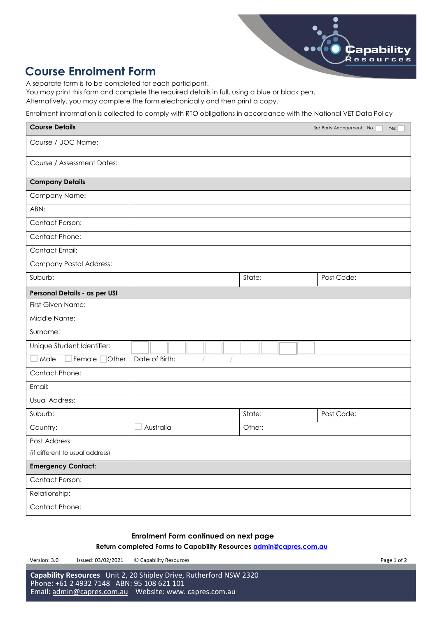

## **Course Enrolment Form**

A separate form is to be completed for each participant.

You may print this form and complete the required details in full, using a blue or black pen.

Alternatively, you may complete the form electronically and then print a copy.

Enrolment information is collected to comply with RTO obligations in accordance with the National VET Data Policy

| <b>Course Details</b>           |                |        | 3rd Party Arrangement: No<br>Yes |
|---------------------------------|----------------|--------|----------------------------------|
| Course / UOC Name:              |                |        |                                  |
| Course / Assessment Dates:      |                |        |                                  |
| <b>Company Details</b>          |                |        |                                  |
| Company Name:                   |                |        |                                  |
| ABN:                            |                |        |                                  |
| Contact Person:                 |                |        |                                  |
| Contact Phone:                  |                |        |                                  |
| Contact Email:                  |                |        |                                  |
| <b>Company Postal Address:</b>  |                |        |                                  |
| Suburb:                         |                | State: | Post Code:                       |
| Personal Details - as per USI   |                |        |                                  |
| First Given Name:               |                |        |                                  |
| Middle Name:                    |                |        |                                  |
| Surname:                        |                |        |                                  |
| Unique Student Identifier:      |                |        |                                  |
| Male<br>Female<br>Other         | Date of Birth: |        |                                  |
| Contact Phone:                  |                |        |                                  |
| Email:                          |                |        |                                  |
| <b>Usual Address:</b>           |                |        |                                  |
| Suburb:                         |                | State: | Post Code:                       |
| Country:                        | Australia      | Other: |                                  |
| Post Address:                   |                |        |                                  |
| (if different to usual address) |                |        |                                  |
| <b>Emergency Contact:</b>       |                |        |                                  |
| Contact Person:                 |                |        |                                  |
| Relationship:                   |                |        |                                  |
| Contact Phone:                  |                |        |                                  |

## **Enrolment Form continued on next page**

**Return completed Forms to Capability Resources admin@capres.com.au**

Version: 3.0 Issued: 03/02/2021 © Capability Resources Page 1 of 2